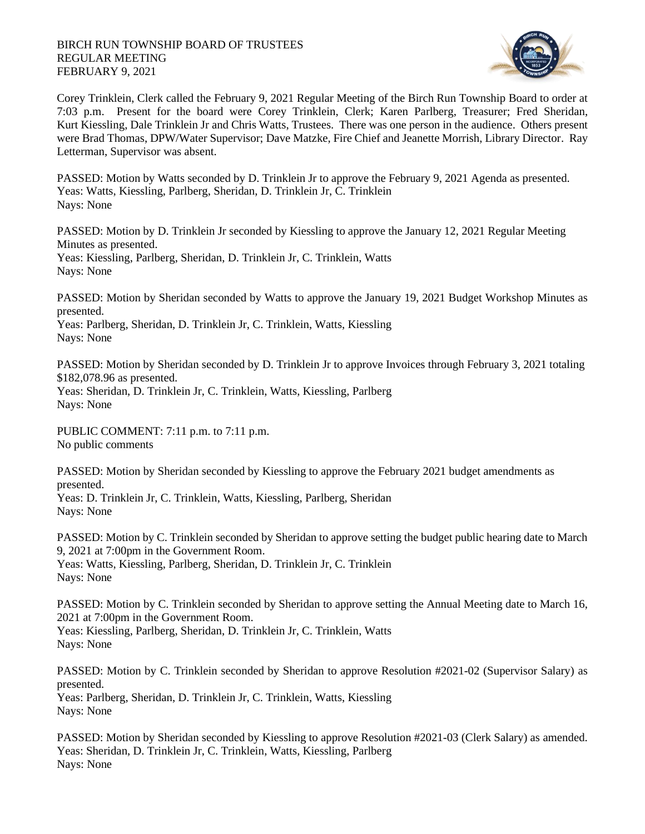

Corey Trinklein, Clerk called the February 9, 2021 Regular Meeting of the Birch Run Township Board to order at 7:03 p.m. Present for the board were Corey Trinklein, Clerk; Karen Parlberg, Treasurer; Fred Sheridan, Kurt Kiessling, Dale Trinklein Jr and Chris Watts, Trustees. There was one person in the audience. Others present were Brad Thomas, DPW/Water Supervisor; Dave Matzke, Fire Chief and Jeanette Morrish, Library Director. Ray Letterman, Supervisor was absent.

PASSED: Motion by Watts seconded by D. Trinklein Jr to approve the February 9, 2021 Agenda as presented. Yeas: Watts, Kiessling, Parlberg, Sheridan, D. Trinklein Jr, C. Trinklein Nays: None

PASSED: Motion by D. Trinklein Jr seconded by Kiessling to approve the January 12, 2021 Regular Meeting Minutes as presented. Yeas: Kiessling, Parlberg, Sheridan, D. Trinklein Jr, C. Trinklein, Watts

Nays: None

PASSED: Motion by Sheridan seconded by Watts to approve the January 19, 2021 Budget Workshop Minutes as presented.

Yeas: Parlberg, Sheridan, D. Trinklein Jr, C. Trinklein, Watts, Kiessling Nays: None

PASSED: Motion by Sheridan seconded by D. Trinklein Jr to approve Invoices through February 3, 2021 totaling \$182,078.96 as presented.

Yeas: Sheridan, D. Trinklein Jr, C. Trinklein, Watts, Kiessling, Parlberg Nays: None

PUBLIC COMMENT: 7:11 p.m. to 7:11 p.m. No public comments

PASSED: Motion by Sheridan seconded by Kiessling to approve the February 2021 budget amendments as presented.

Yeas: D. Trinklein Jr, C. Trinklein, Watts, Kiessling, Parlberg, Sheridan Nays: None

PASSED: Motion by C. Trinklein seconded by Sheridan to approve setting the budget public hearing date to March 9, 2021 at 7:00pm in the Government Room. Yeas: Watts, Kiessling, Parlberg, Sheridan, D. Trinklein Jr, C. Trinklein Nays: None

PASSED: Motion by C. Trinklein seconded by Sheridan to approve setting the Annual Meeting date to March 16, 2021 at 7:00pm in the Government Room.

Yeas: Kiessling, Parlberg, Sheridan, D. Trinklein Jr, C. Trinklein, Watts Nays: None

PASSED: Motion by C. Trinklein seconded by Sheridan to approve Resolution #2021-02 (Supervisor Salary) as presented. Yeas: Parlberg, Sheridan, D. Trinklein Jr, C. Trinklein, Watts, Kiessling Nays: None

PASSED: Motion by Sheridan seconded by Kiessling to approve Resolution #2021-03 (Clerk Salary) as amended. Yeas: Sheridan, D. Trinklein Jr, C. Trinklein, Watts, Kiessling, Parlberg Nays: None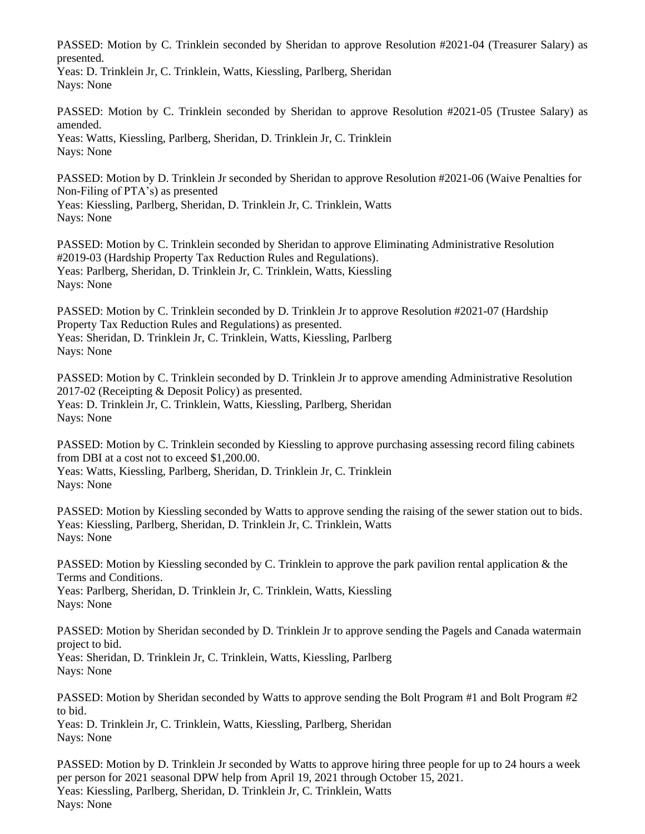PASSED: Motion by C. Trinklein seconded by Sheridan to approve Resolution #2021-04 (Treasurer Salary) as presented.

Yeas: D. Trinklein Jr, C. Trinklein, Watts, Kiessling, Parlberg, Sheridan Nays: None

PASSED: Motion by C. Trinklein seconded by Sheridan to approve Resolution #2021-05 (Trustee Salary) as amended.

Yeas: Watts, Kiessling, Parlberg, Sheridan, D. Trinklein Jr, C. Trinklein Nays: None

PASSED: Motion by D. Trinklein Jr seconded by Sheridan to approve Resolution #2021-06 (Waive Penalties for Non-Filing of PTA's) as presented

Yeas: Kiessling, Parlberg, Sheridan, D. Trinklein Jr, C. Trinklein, Watts Nays: None

PASSED: Motion by C. Trinklein seconded by Sheridan to approve Eliminating Administrative Resolution #2019-03 (Hardship Property Tax Reduction Rules and Regulations). Yeas: Parlberg, Sheridan, D. Trinklein Jr, C. Trinklein, Watts, Kiessling Nays: None

PASSED: Motion by C. Trinklein seconded by D. Trinklein Jr to approve Resolution #2021-07 (Hardship Property Tax Reduction Rules and Regulations) as presented. Yeas: Sheridan, D. Trinklein Jr, C. Trinklein, Watts, Kiessling, Parlberg Nays: None

PASSED: Motion by C. Trinklein seconded by D. Trinklein Jr to approve amending Administrative Resolution 2017-02 (Receipting & Deposit Policy) as presented. Yeas: D. Trinklein Jr, C. Trinklein, Watts, Kiessling, Parlberg, Sheridan Nays: None

PASSED: Motion by C. Trinklein seconded by Kiessling to approve purchasing assessing record filing cabinets from DBI at a cost not to exceed \$1,200.00. Yeas: Watts, Kiessling, Parlberg, Sheridan, D. Trinklein Jr, C. Trinklein Nays: None

PASSED: Motion by Kiessling seconded by Watts to approve sending the raising of the sewer station out to bids. Yeas: Kiessling, Parlberg, Sheridan, D. Trinklein Jr, C. Trinklein, Watts Nays: None

PASSED: Motion by Kiessling seconded by C. Trinklein to approve the park pavilion rental application & the Terms and Conditions.

Yeas: Parlberg, Sheridan, D. Trinklein Jr, C. Trinklein, Watts, Kiessling Nays: None

PASSED: Motion by Sheridan seconded by D. Trinklein Jr to approve sending the Pagels and Canada watermain project to bid. Yeas: Sheridan, D. Trinklein Jr, C. Trinklein, Watts, Kiessling, Parlberg Nays: None

PASSED: Motion by Sheridan seconded by Watts to approve sending the Bolt Program #1 and Bolt Program #2 to bid. Yeas: D. Trinklein Jr, C. Trinklein, Watts, Kiessling, Parlberg, Sheridan Nays: None

PASSED: Motion by D. Trinklein Jr seconded by Watts to approve hiring three people for up to 24 hours a week per person for 2021 seasonal DPW help from April 19, 2021 through October 15, 2021. Yeas: Kiessling, Parlberg, Sheridan, D. Trinklein Jr, C. Trinklein, Watts Nays: None